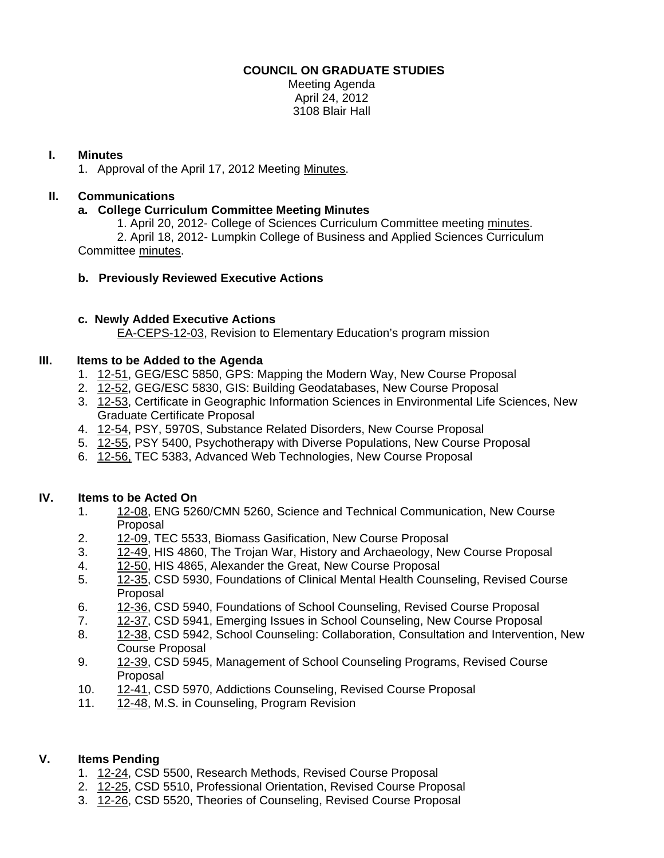#### **COUNCIL ON GRADUATE STUDIES**

Meeting Agenda April 24, 2012 3108 Blair Hall

#### **I. Minutes**

1. Approval of the April 17, 2012 Meeti[ng Minutes.](http://castle.eiu.edu/eiucgs/currentminutes/Minutes4-17-12.pdf)

## **II. Communications**

## **a. College Curriculum Committee Meeting Minutes**

1. April 20, 2012- College of Sciences Curriculum Committee meetin[g minutes.](http://castle.eiu.edu/~eiucgs/currentagendaitems/COSMin4-20-12.pdf) 

 2. April 18, 2012- Lumpkin College of Business and Applied Sciences Curriculum Committe[e minutes.](http://castle.eiu.edu/~eiucgs/currentagendaitems/LCBASMin4-18-12.pdf) 

## **b. Previously Reviewed Executive Actions**

## **c. Newly Added Executive Actions**

[EA-CEPS-12-03,](http://castle.eiu.edu/~eiucgs/exec-actions/EA-CEPS-12-03.pdf) Revision to Elementary Education's program mission

## **III. Items to be Added to the Agenda**

- 1. [12-51, G](http://castle.eiu.edu/~eiucgs/currentagendaitems/agenda12-51.pdf)EG/ESC 5850, GPS: Mapping the Modern Way, New Course Proposal
- 2. [12-52, G](http://castle.eiu.edu/~eiucgs/currentagendaitems/agenda12-52.pdf)EG/ESC 5830, GIS: Building Geodatabases, New Course Proposal
- 3. [12-53,](http://castle.eiu.edu/~eiucgs/currentagendaitems/agenda12-53.pdf) Certificate in Geographic Information Sciences in Environmental Life Sciences, New Graduate Certificate Proposal
- 4. [12-54,](http://castle.eiu.edu/~eiucgs/currentagendaitems/agenda12-54.pdf) PSY, 5970S, Substance Related Disorders, New Course Proposal
- 5. [12-55,](http://castle.eiu.edu/~eiucgs/currentagendaitems/agenda12-55.pdf) PSY 5400, Psychotherapy with Diverse Populations, New Course Proposal
- 6. [12-56, TE](http://castle.eiu.edu/~eiucgs/currentagendaitems/agenda12-56.pdf)C 5383, Advanced Web Technologies, New Course Proposal

#### **IV. Items to be Acted On**

- 1. [12-08,](http://castle.eiu.edu/~eiucgs/currentagendaitems/agenda12-08.pdf) ENG 5260/CMN 5260, Science and Technical Communication, New Course Proposal
- 2. [12-09, T](http://castle.eiu.edu/~eiucgs/currentagendaitems/agenda12-09.pdf)EC 5533, Biomass Gasification, New Course Proposal
- 3. [12-49,](http://castle.eiu.edu/~eiucgs/currentagendaitems/agenda12-49.pdf) HIS 4860, The Trojan War, History and Archaeology, New Course Proposal
- 4. [12-50, H](http://castle.eiu.edu/~eiucgs/currentagendaitems/agenda12-50.pdf)IS 4865, Alexander the Great, New Course Proposal
- 5. [12-35,](http://castle.eiu.edu/~eiucgs/currentagendaitems/agenda12-35.pdf) CSD 5930, Foundations of Clinical Mental Health Counseling, Revised Course Proposal
- 6. [12-36,](http://castle.eiu.edu/~eiucgs/currentagendaitems/agenda12-36.pdf) CSD 5940, Foundations of School Counseling, Revised Course Proposal
- 7. [12-37, C](http://castle.eiu.edu/~eiucgs/currentagendaitems/agenda12-37.pdf)SD 5941, Emerging Issues in School Counseling, New Course Proposal
- 8. [12-38, C](http://castle.eiu.edu/~eiucgs/currentagendaitems/agenda12-38.pdf)SD 5942, School Counseling: Collaboration, Consultation and Intervention, New Course Proposal
- 9. [12-39,](http://castle.eiu.edu/~eiucgs/currentagendaitems/agenda12-39.pdf) CSD 5945, Management of School Counseling Programs, Revised Course Proposal
- 10. [12-41,](http://castle.eiu.edu/~eiucgs/currentagendaitems/agenda12-41.pdf) CSD 5970, Addictions Counseling, Revised Course Proposal
- 11. [12-48, M](http://castle.eiu.edu/~eiucgs/currentagendaitems/agenda12-48.pdf).S. in Counseling, Program Revision

# **V. Items Pending**

- 1. [12-24,](http://castle.eiu.edu/~eiucgs/currentagendaitems/agenda12-24.pdf) CSD 5500, Research Methods, Revised Course Proposal
- 2. [12-25, C](http://castle.eiu.edu/~eiucgs/currentagendaitems/agenda12-25.pdf)SD 5510, Professional Orientation, Revised Course Proposal
- 3. [12-26,](http://castle.eiu.edu/~eiucgs/currentagendaitems/agenda12-26.pdf) CSD 5520, Theories of Counseling, Revised Course Proposal